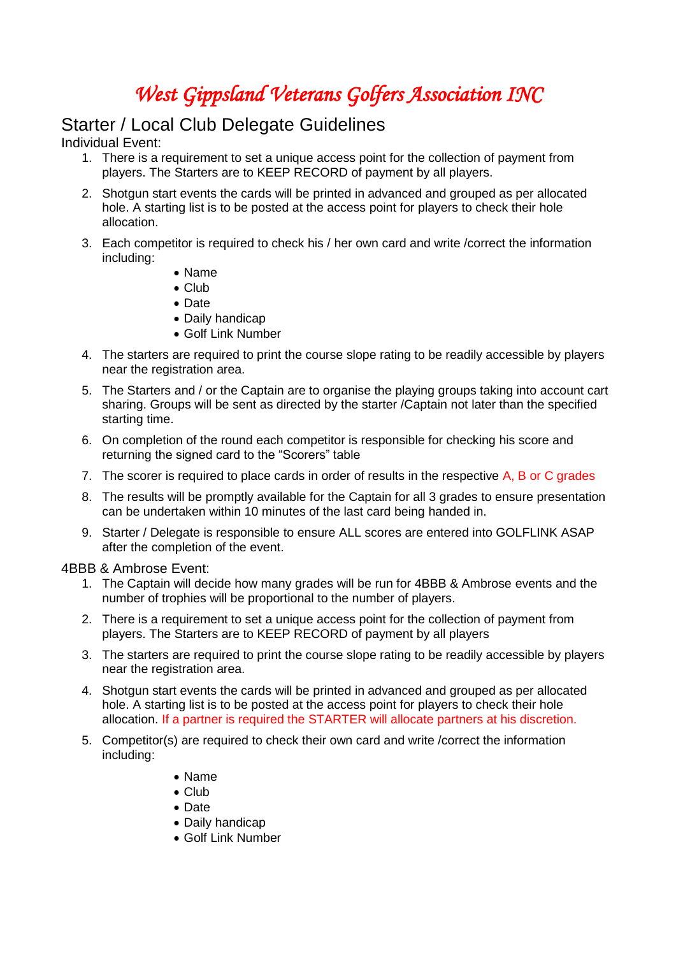## *West Gippsland Veterans Golfers Association INC*

## Starter / Local Club Delegate Guidelines

Individual Event:

- 1. There is a requirement to set a unique access point for the collection of payment from players. The Starters are to KEEP RECORD of payment by all players.
- 2. Shotgun start events the cards will be printed in advanced and grouped as per allocated hole. A starting list is to be posted at the access point for players to check their hole allocation.
- 3. Each competitor is required to check his / her own card and write /correct the information including:
	- Name
	- Club
	- Date
	- Daily handicap
	- Golf Link Number
- 4. The starters are required to print the course slope rating to be readily accessible by players near the registration area.
- 5. The Starters and / or the Captain are to organise the playing groups taking into account cart sharing. Groups will be sent as directed by the starter /Captain not later than the specified starting time.
- 6. On completion of the round each competitor is responsible for checking his score and returning the signed card to the "Scorers" table
- 7. The scorer is required to place cards in order of results in the respective A, B or C grades
- 8. The results will be promptly available for the Captain for all 3 grades to ensure presentation can be undertaken within 10 minutes of the last card being handed in.
- 9. Starter / Delegate is responsible to ensure ALL scores are entered into GOLFLINK ASAP after the completion of the event.

4BBB & Ambrose Event:

- 1. The Captain will decide how many grades will be run for 4BBB & Ambrose events and the number of trophies will be proportional to the number of players.
- 2. There is a requirement to set a unique access point for the collection of payment from players. The Starters are to KEEP RECORD of payment by all players
- 3. The starters are required to print the course slope rating to be readily accessible by players near the registration area.
- 4. Shotgun start events the cards will be printed in advanced and grouped as per allocated hole. A starting list is to be posted at the access point for players to check their hole allocation. If a partner is required the STARTER will allocate partners at his discretion.
- 5. Competitor(s) are required to check their own card and write /correct the information including:
	- Name
	- $\bullet$  Club
	- Date
	- Daily handicap
	- Golf Link Number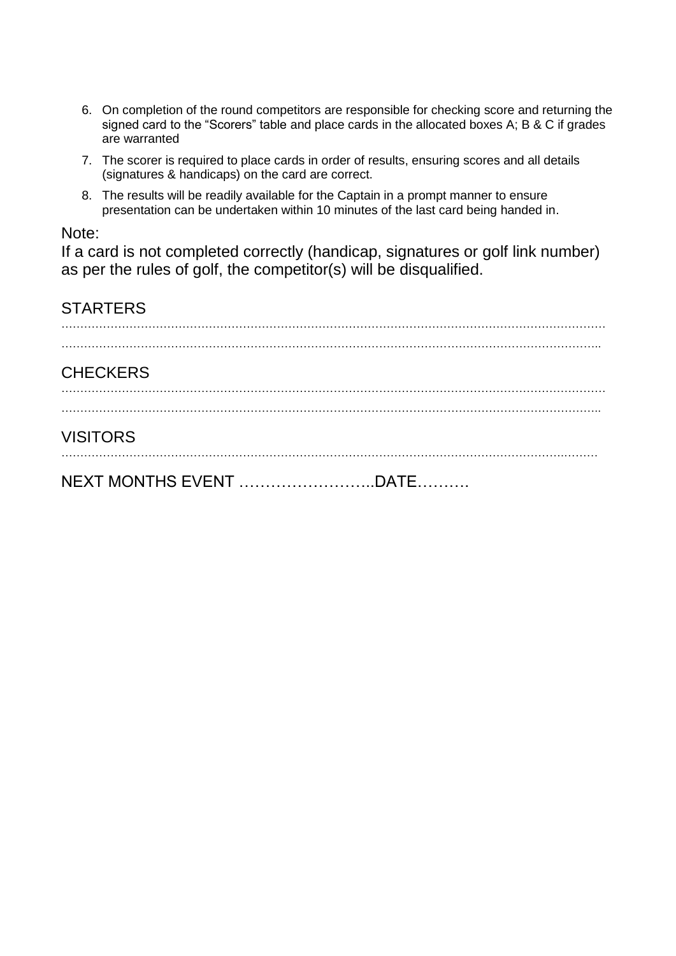- 6. On completion of the round competitors are responsible for checking score and returning the signed card to the "Scorers" table and place cards in the allocated boxes A; B & C if grades are warranted
- 7. The scorer is required to place cards in order of results, ensuring scores and all details (signatures & handicaps) on the card are correct.
- 8. The results will be readily available for the Captain in a prompt manner to ensure presentation can be undertaken within 10 minutes of the last card being handed in.

#### Note:

If a card is not completed correctly (handicap, signatures or golf link number) as per the rules of golf, the competitor(s) will be disqualified.

| <b>STARTERS</b> |  |
|-----------------|--|
|                 |  |
| <b>CHECKERS</b> |  |
|                 |  |
| <b>VISITORS</b> |  |
|                 |  |